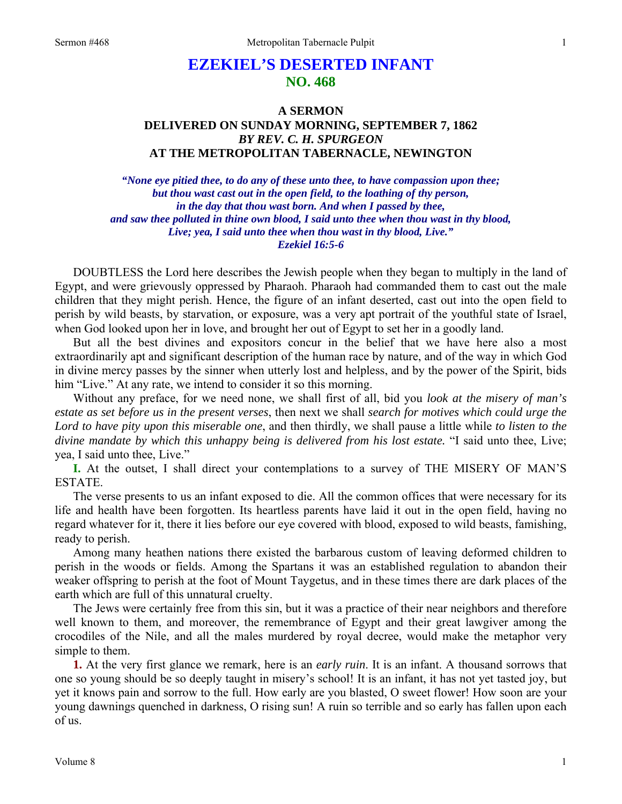## **EZEKIEL'S DESERTED INFANT NO. 468**

## **A SERMON DELIVERED ON SUNDAY MORNING, SEPTEMBER 7, 1862**  *BY REV. C. H. SPURGEON*  **AT THE METROPOLITAN TABERNACLE, NEWINGTON**

*"None eye pitied thee, to do any of these unto thee, to have compassion upon thee; but thou wast cast out in the open field, to the loathing of thy person, in the day that thou wast born. And when I passed by thee, and saw thee polluted in thine own blood, I said unto thee when thou wast in thy blood, Live; yea, I said unto thee when thou wast in thy blood, Live." Ezekiel 16:5-6* 

DOUBTLESS the Lord here describes the Jewish people when they began to multiply in the land of Egypt, and were grievously oppressed by Pharaoh. Pharaoh had commanded them to cast out the male children that they might perish. Hence, the figure of an infant deserted, cast out into the open field to perish by wild beasts, by starvation, or exposure, was a very apt portrait of the youthful state of Israel, when God looked upon her in love, and brought her out of Egypt to set her in a goodly land.

But all the best divines and expositors concur in the belief that we have here also a most extraordinarily apt and significant description of the human race by nature, and of the way in which God in divine mercy passes by the sinner when utterly lost and helpless, and by the power of the Spirit, bids him "Live." At any rate, we intend to consider it so this morning.

Without any preface, for we need none, we shall first of all, bid you *look at the misery of man's estate as set before us in the present verses*, then next we shall *search for motives which could urge the Lord to have pity upon this miserable one*, and then thirdly, we shall pause a little while *to listen to the divine mandate by which this unhappy being is delivered from his lost estate.* "I said unto thee, Live; yea, I said unto thee, Live."

**I.** At the outset, I shall direct your contemplations to a survey of THE MISERY OF MAN'S ESTATE.

The verse presents to us an infant exposed to die. All the common offices that were necessary for its life and health have been forgotten. Its heartless parents have laid it out in the open field, having no regard whatever for it, there it lies before our eye covered with blood, exposed to wild beasts, famishing, ready to perish.

Among many heathen nations there existed the barbarous custom of leaving deformed children to perish in the woods or fields. Among the Spartans it was an established regulation to abandon their weaker offspring to perish at the foot of Mount Taygetus, and in these times there are dark places of the earth which are full of this unnatural cruelty.

The Jews were certainly free from this sin, but it was a practice of their near neighbors and therefore well known to them, and moreover, the remembrance of Egypt and their great lawgiver among the crocodiles of the Nile, and all the males murdered by royal decree, would make the metaphor very simple to them.

**1.** At the very first glance we remark, here is an *early ruin*. It is an infant. A thousand sorrows that one so young should be so deeply taught in misery's school! It is an infant, it has not yet tasted joy, but yet it knows pain and sorrow to the full. How early are you blasted, O sweet flower! How soon are your young dawnings quenched in darkness, O rising sun! A ruin so terrible and so early has fallen upon each of us.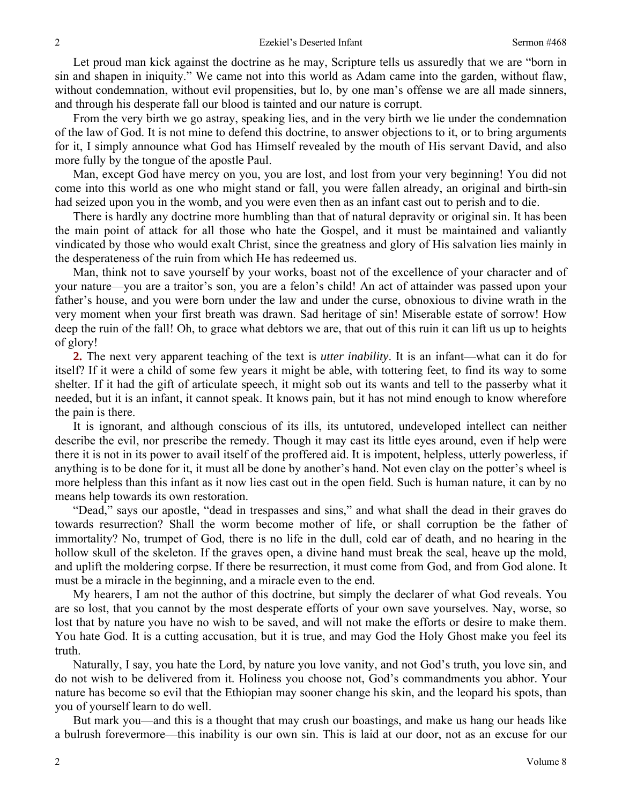Let proud man kick against the doctrine as he may, Scripture tells us assuredly that we are "born in sin and shapen in iniquity." We came not into this world as Adam came into the garden, without flaw, without condemnation, without evil propensities, but lo, by one man's offense we are all made sinners, and through his desperate fall our blood is tainted and our nature is corrupt.

From the very birth we go astray, speaking lies, and in the very birth we lie under the condemnation of the law of God. It is not mine to defend this doctrine, to answer objections to it, or to bring arguments for it, I simply announce what God has Himself revealed by the mouth of His servant David, and also more fully by the tongue of the apostle Paul.

Man, except God have mercy on you, you are lost, and lost from your very beginning! You did not come into this world as one who might stand or fall, you were fallen already, an original and birth-sin had seized upon you in the womb, and you were even then as an infant cast out to perish and to die.

There is hardly any doctrine more humbling than that of natural depravity or original sin. It has been the main point of attack for all those who hate the Gospel, and it must be maintained and valiantly vindicated by those who would exalt Christ, since the greatness and glory of His salvation lies mainly in the desperateness of the ruin from which He has redeemed us.

Man, think not to save yourself by your works, boast not of the excellence of your character and of your nature—you are a traitor's son, you are a felon's child! An act of attainder was passed upon your father's house, and you were born under the law and under the curse, obnoxious to divine wrath in the very moment when your first breath was drawn. Sad heritage of sin! Miserable estate of sorrow! How deep the ruin of the fall! Oh, to grace what debtors we are, that out of this ruin it can lift us up to heights of glory!

**2.** The next very apparent teaching of the text is *utter inability*. It is an infant—what can it do for itself? If it were a child of some few years it might be able, with tottering feet, to find its way to some shelter. If it had the gift of articulate speech, it might sob out its wants and tell to the passerby what it needed, but it is an infant, it cannot speak. It knows pain, but it has not mind enough to know wherefore the pain is there.

It is ignorant, and although conscious of its ills, its untutored, undeveloped intellect can neither describe the evil, nor prescribe the remedy. Though it may cast its little eyes around, even if help were there it is not in its power to avail itself of the proffered aid. It is impotent, helpless, utterly powerless, if anything is to be done for it, it must all be done by another's hand. Not even clay on the potter's wheel is more helpless than this infant as it now lies cast out in the open field. Such is human nature, it can by no means help towards its own restoration.

"Dead," says our apostle, "dead in trespasses and sins," and what shall the dead in their graves do towards resurrection? Shall the worm become mother of life, or shall corruption be the father of immortality? No, trumpet of God, there is no life in the dull, cold ear of death, and no hearing in the hollow skull of the skeleton. If the graves open, a divine hand must break the seal, heave up the mold, and uplift the moldering corpse. If there be resurrection, it must come from God, and from God alone. It must be a miracle in the beginning, and a miracle even to the end.

My hearers, I am not the author of this doctrine, but simply the declarer of what God reveals. You are so lost, that you cannot by the most desperate efforts of your own save yourselves. Nay, worse, so lost that by nature you have no wish to be saved, and will not make the efforts or desire to make them. You hate God. It is a cutting accusation, but it is true, and may God the Holy Ghost make you feel its truth.

Naturally, I say, you hate the Lord, by nature you love vanity, and not God's truth, you love sin, and do not wish to be delivered from it. Holiness you choose not, God's commandments you abhor. Your nature has become so evil that the Ethiopian may sooner change his skin, and the leopard his spots, than you of yourself learn to do well.

But mark you—and this is a thought that may crush our boastings, and make us hang our heads like a bulrush forevermore—this inability is our own sin. This is laid at our door, not as an excuse for our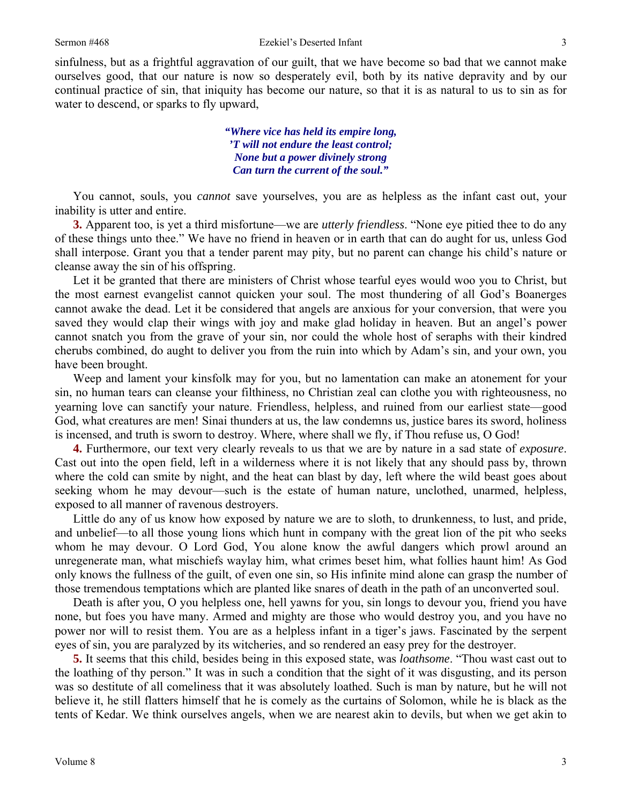sinfulness, but as a frightful aggravation of our guilt, that we have become so bad that we cannot make ourselves good, that our nature is now so desperately evil, both by its native depravity and by our continual practice of sin, that iniquity has become our nature, so that it is as natural to us to sin as for water to descend, or sparks to fly upward,

> *"Where vice has held its empire long, 'T will not endure the least control; None but a power divinely strong Can turn the current of the soul."*

You cannot, souls, you *cannot* save yourselves, you are as helpless as the infant cast out, your inability is utter and entire.

**3.** Apparent too, is yet a third misfortune—we are *utterly friendless*. "None eye pitied thee to do any of these things unto thee." We have no friend in heaven or in earth that can do aught for us, unless God shall interpose. Grant you that a tender parent may pity, but no parent can change his child's nature or cleanse away the sin of his offspring.

Let it be granted that there are ministers of Christ whose tearful eyes would woo you to Christ, but the most earnest evangelist cannot quicken your soul. The most thundering of all God's Boanerges cannot awake the dead. Let it be considered that angels are anxious for your conversion, that were you saved they would clap their wings with joy and make glad holiday in heaven. But an angel's power cannot snatch you from the grave of your sin, nor could the whole host of seraphs with their kindred cherubs combined, do aught to deliver you from the ruin into which by Adam's sin, and your own, you have been brought.

Weep and lament your kinsfolk may for you, but no lamentation can make an atonement for your sin, no human tears can cleanse your filthiness, no Christian zeal can clothe you with righteousness, no yearning love can sanctify your nature. Friendless, helpless, and ruined from our earliest state—good God, what creatures are men! Sinai thunders at us, the law condemns us, justice bares its sword, holiness is incensed, and truth is sworn to destroy. Where, where shall we fly, if Thou refuse us, O God!

**4.** Furthermore, our text very clearly reveals to us that we are by nature in a sad state of *exposure*. Cast out into the open field, left in a wilderness where it is not likely that any should pass by, thrown where the cold can smite by night, and the heat can blast by day, left where the wild beast goes about seeking whom he may devour—such is the estate of human nature, unclothed, unarmed, helpless, exposed to all manner of ravenous destroyers.

Little do any of us know how exposed by nature we are to sloth, to drunkenness, to lust, and pride, and unbelief—to all those young lions which hunt in company with the great lion of the pit who seeks whom he may devour. O Lord God, You alone know the awful dangers which prowl around an unregenerate man, what mischiefs waylay him, what crimes beset him, what follies haunt him! As God only knows the fullness of the guilt, of even one sin, so His infinite mind alone can grasp the number of those tremendous temptations which are planted like snares of death in the path of an unconverted soul.

Death is after you, O you helpless one, hell yawns for you, sin longs to devour you, friend you have none, but foes you have many. Armed and mighty are those who would destroy you, and you have no power nor will to resist them. You are as a helpless infant in a tiger's jaws. Fascinated by the serpent eyes of sin, you are paralyzed by its witcheries, and so rendered an easy prey for the destroyer.

**5.** It seems that this child, besides being in this exposed state, was *loathsome*. "Thou wast cast out to the loathing of thy person." It was in such a condition that the sight of it was disgusting, and its person was so destitute of all comeliness that it was absolutely loathed. Such is man by nature, but he will not believe it, he still flatters himself that he is comely as the curtains of Solomon, while he is black as the tents of Kedar. We think ourselves angels, when we are nearest akin to devils, but when we get akin to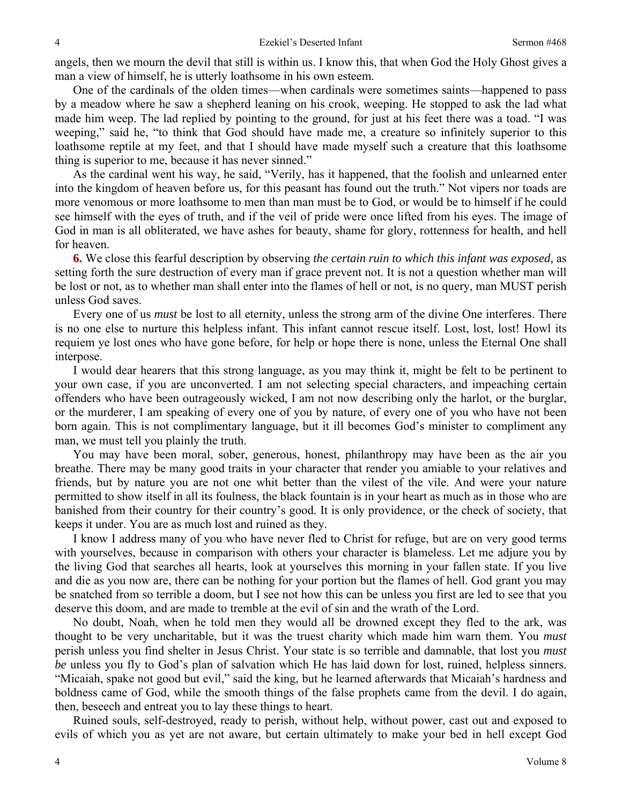angels, then we mourn the devil that still is within us. I know this, that when God the Holy Ghost gives a man a view of himself, he is utterly loathsome in his own esteem.

One of the cardinals of the olden times—when cardinals were sometimes saints—happened to pass by a meadow where he saw a shepherd leaning on his crook, weeping. He stopped to ask the lad what made him weep. The lad replied by pointing to the ground, for just at his feet there was a toad. "I was weeping," said he, "to think that God should have made me, a creature so infinitely superior to this loathsome reptile at my feet, and that I should have made myself such a creature that this loathsome thing is superior to me, because it has never sinned."

As the cardinal went his way, he said, "Verily, has it happened, that the foolish and unlearned enter into the kingdom of heaven before us, for this peasant has found out the truth." Not vipers nor toads are more venomous or more loathsome to men than man must be to God, or would be to himself if he could see himself with the eyes of truth, and if the veil of pride were once lifted from his eyes. The image of God in man is all obliterated, we have ashes for beauty, shame for glory, rottenness for health, and hell for heaven.

**6.** We close this fearful description by observing *the certain ruin to which this infant was exposed,* as setting forth the sure destruction of every man if grace prevent not. It is not a question whether man will be lost or not, as to whether man shall enter into the flames of hell or not, is no query, man MUST perish unless God saves.

Every one of us *must* be lost to all eternity, unless the strong arm of the divine One interferes. There is no one else to nurture this helpless infant. This infant cannot rescue itself. Lost, lost, lost! Howl its requiem ye lost ones who have gone before, for help or hope there is none, unless the Eternal One shall interpose.

I would dear hearers that this strong language, as you may think it, might be felt to be pertinent to your own case, if you are unconverted. I am not selecting special characters, and impeaching certain offenders who have been outrageously wicked, I am not now describing only the harlot, or the burglar, or the murderer, I am speaking of every one of you by nature, of every one of you who have not been born again. This is not complimentary language, but it ill becomes God's minister to compliment any man, we must tell you plainly the truth.

You may have been moral, sober, generous, honest, philanthropy may have been as the air you breathe. There may be many good traits in your character that render you amiable to your relatives and friends, but by nature you are not one whit better than the vilest of the vile. And were your nature permitted to show itself in all its foulness, the black fountain is in your heart as much as in those who are banished from their country for their country's good. It is only providence, or the check of society, that keeps it under. You are as much lost and ruined as they.

I know I address many of you who have never fled to Christ for refuge, but are on very good terms with yourselves, because in comparison with others your character is blameless. Let me adjure you by the living God that searches all hearts, look at yourselves this morning in your fallen state. If you live and die as you now are, there can be nothing for your portion but the flames of hell. God grant you may be snatched from so terrible a doom, but I see not how this can be unless you first are led to see that you deserve this doom, and are made to tremble at the evil of sin and the wrath of the Lord.

No doubt, Noah, when he told men they would all be drowned except they fled to the ark, was thought to be very uncharitable, but it was the truest charity which made him warn them. You *must*  perish unless you find shelter in Jesus Christ. Your state is so terrible and damnable, that lost you *must be* unless you fly to God's plan of salvation which He has laid down for lost, ruined, helpless sinners. "Micaiah, spake not good but evil," said the king, but he learned afterwards that Micaiah's hardness and boldness came of God, while the smooth things of the false prophets came from the devil. I do again, then, beseech and entreat you to lay these things to heart.

Ruined souls, self-destroyed, ready to perish, without help, without power, cast out and exposed to evils of which you as yet are not aware, but certain ultimately to make your bed in hell except God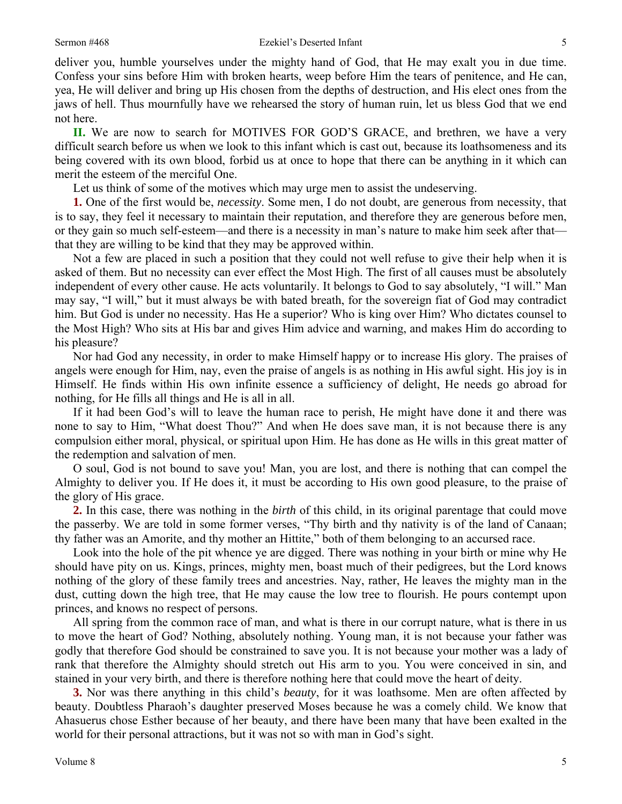deliver you, humble yourselves under the mighty hand of God, that He may exalt you in due time. Confess your sins before Him with broken hearts, weep before Him the tears of penitence, and He can, yea, He will deliver and bring up His chosen from the depths of destruction, and His elect ones from the jaws of hell. Thus mournfully have we rehearsed the story of human ruin, let us bless God that we end not here.

**II.** We are now to search for MOTIVES FOR GOD'S GRACE, and brethren, we have a very difficult search before us when we look to this infant which is cast out, because its loathsomeness and its being covered with its own blood, forbid us at once to hope that there can be anything in it which can merit the esteem of the merciful One.

Let us think of some of the motives which may urge men to assist the undeserving.

**1.** One of the first would be, *necessity*. Some men, I do not doubt, are generous from necessity, that is to say, they feel it necessary to maintain their reputation, and therefore they are generous before men, or they gain so much self-esteem—and there is a necessity in man's nature to make him seek after that that they are willing to be kind that they may be approved within.

Not a few are placed in such a position that they could not well refuse to give their help when it is asked of them. But no necessity can ever effect the Most High. The first of all causes must be absolutely independent of every other cause. He acts voluntarily. It belongs to God to say absolutely, "I will." Man may say, "I will," but it must always be with bated breath, for the sovereign fiat of God may contradict him. But God is under no necessity. Has He a superior? Who is king over Him? Who dictates counsel to the Most High? Who sits at His bar and gives Him advice and warning, and makes Him do according to his pleasure?

Nor had God any necessity, in order to make Himself happy or to increase His glory. The praises of angels were enough for Him, nay, even the praise of angels is as nothing in His awful sight. His joy is in Himself. He finds within His own infinite essence a sufficiency of delight, He needs go abroad for nothing, for He fills all things and He is all in all.

If it had been God's will to leave the human race to perish, He might have done it and there was none to say to Him, "What doest Thou?" And when He does save man, it is not because there is any compulsion either moral, physical, or spiritual upon Him. He has done as He wills in this great matter of the redemption and salvation of men.

O soul, God is not bound to save you! Man, you are lost, and there is nothing that can compel the Almighty to deliver you. If He does it, it must be according to His own good pleasure, to the praise of the glory of His grace.

**2.** In this case, there was nothing in the *birth* of this child, in its original parentage that could move the passerby. We are told in some former verses, "Thy birth and thy nativity is of the land of Canaan; thy father was an Amorite, and thy mother an Hittite," both of them belonging to an accursed race.

Look into the hole of the pit whence ye are digged. There was nothing in your birth or mine why He should have pity on us. Kings, princes, mighty men, boast much of their pedigrees, but the Lord knows nothing of the glory of these family trees and ancestries. Nay, rather, He leaves the mighty man in the dust, cutting down the high tree, that He may cause the low tree to flourish. He pours contempt upon princes, and knows no respect of persons.

All spring from the common race of man, and what is there in our corrupt nature, what is there in us to move the heart of God? Nothing, absolutely nothing. Young man, it is not because your father was godly that therefore God should be constrained to save you. It is not because your mother was a lady of rank that therefore the Almighty should stretch out His arm to you. You were conceived in sin, and stained in your very birth, and there is therefore nothing here that could move the heart of deity.

**3.** Nor was there anything in this child's *beauty*, for it was loathsome. Men are often affected by beauty. Doubtless Pharaoh's daughter preserved Moses because he was a comely child. We know that Ahasuerus chose Esther because of her beauty, and there have been many that have been exalted in the world for their personal attractions, but it was not so with man in God's sight.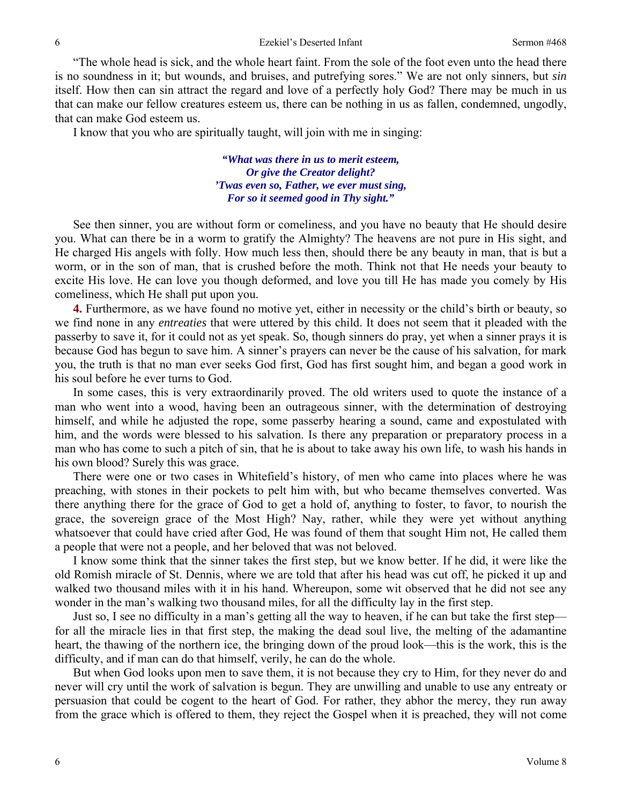"The whole head is sick, and the whole heart faint. From the sole of the foot even unto the head there is no soundness in it; but wounds, and bruises, and putrefying sores." We are not only sinners, but *sin*  itself. How then can sin attract the regard and love of a perfectly holy God? There may be much in us that can make our fellow creatures esteem us, there can be nothing in us as fallen, condemned, ungodly, that can make God esteem us.

I know that you who are spiritually taught, will join with me in singing:

*"What was there in us to merit esteem, Or give the Creator delight? 'Twas even so, Father, we ever must sing, For so it seemed good in Thy sight."* 

See then sinner, you are without form or comeliness, and you have no beauty that He should desire you. What can there be in a worm to gratify the Almighty? The heavens are not pure in His sight, and He charged His angels with folly. How much less then, should there be any beauty in man, that is but a worm, or in the son of man, that is crushed before the moth. Think not that He needs your beauty to excite His love. He can love you though deformed, and love you till He has made you comely by His comeliness, which He shall put upon you.

**4.** Furthermore, as we have found no motive yet, either in necessity or the child's birth or beauty, so we find none in any *entreaties* that were uttered by this child. It does not seem that it pleaded with the passerby to save it, for it could not as yet speak. So, though sinners do pray, yet when a sinner prays it is because God has begun to save him. A sinner's prayers can never be the cause of his salvation, for mark you, the truth is that no man ever seeks God first, God has first sought him, and began a good work in his soul before he ever turns to God.

In some cases, this is very extraordinarily proved. The old writers used to quote the instance of a man who went into a wood, having been an outrageous sinner, with the determination of destroying himself, and while he adjusted the rope, some passerby hearing a sound, came and expostulated with him, and the words were blessed to his salvation. Is there any preparation or preparatory process in a man who has come to such a pitch of sin, that he is about to take away his own life, to wash his hands in his own blood? Surely this was grace.

There were one or two cases in Whitefield's history, of men who came into places where he was preaching, with stones in their pockets to pelt him with, but who became themselves converted. Was there anything there for the grace of God to get a hold of, anything to foster, to favor, to nourish the grace, the sovereign grace of the Most High? Nay, rather, while they were yet without anything whatsoever that could have cried after God, He was found of them that sought Him not, He called them a people that were not a people, and her beloved that was not beloved.

I know some think that the sinner takes the first step, but we know better. If he did, it were like the old Romish miracle of St. Dennis, where we are told that after his head was cut off, he picked it up and walked two thousand miles with it in his hand. Whereupon, some wit observed that he did not see any wonder in the man's walking two thousand miles, for all the difficulty lay in the first step.

Just so, I see no difficulty in a man's getting all the way to heaven, if he can but take the first step for all the miracle lies in that first step, the making the dead soul live, the melting of the adamantine heart, the thawing of the northern ice, the bringing down of the proud look—this is the work, this is the difficulty, and if man can do that himself, verily, he can do the whole.

But when God looks upon men to save them, it is not because they cry to Him, for they never do and never will cry until the work of salvation is begun. They are unwilling and unable to use any entreaty or persuasion that could be cogent to the heart of God. For rather, they abhor the mercy, they run away from the grace which is offered to them, they reject the Gospel when it is preached, they will not come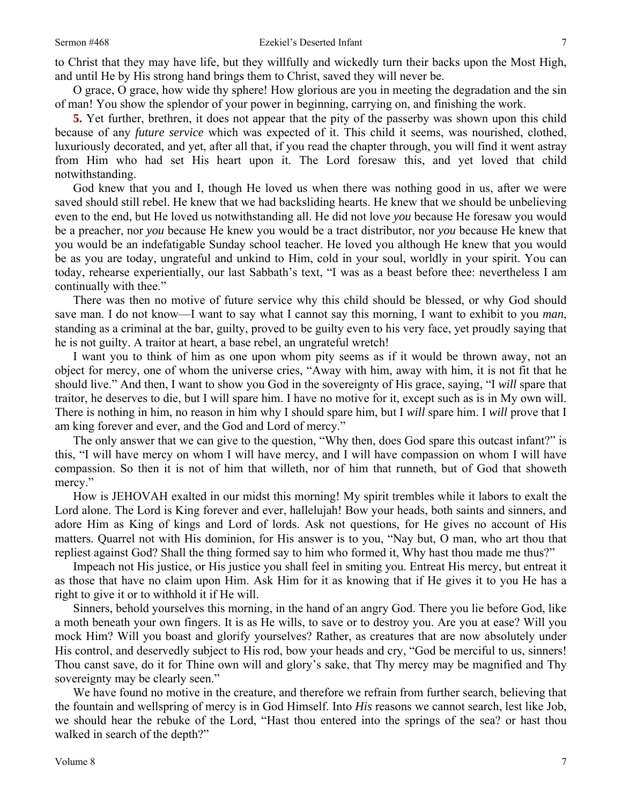to Christ that they may have life, but they willfully and wickedly turn their backs upon the Most High, and until He by His strong hand brings them to Christ, saved they will never be.

O grace, O grace, how wide thy sphere! How glorious are you in meeting the degradation and the sin of man! You show the splendor of your power in beginning, carrying on, and finishing the work.

**5.** Yet further, brethren, it does not appear that the pity of the passerby was shown upon this child because of any *future service* which was expected of it. This child it seems, was nourished, clothed, luxuriously decorated, and yet, after all that, if you read the chapter through, you will find it went astray from Him who had set His heart upon it. The Lord foresaw this, and yet loved that child notwithstanding.

God knew that you and I, though He loved us when there was nothing good in us, after we were saved should still rebel. He knew that we had backsliding hearts. He knew that we should be unbelieving even to the end, but He loved us notwithstanding all. He did not love *you* because He foresaw you would be a preacher, nor *you* because He knew you would be a tract distributor, nor *you* because He knew that you would be an indefatigable Sunday school teacher. He loved you although He knew that you would be as you are today, ungrateful and unkind to Him, cold in your soul, worldly in your spirit. You can today, rehearse experientially, our last Sabbath's text, "I was as a beast before thee: nevertheless I am continually with thee."

There was then no motive of future service why this child should be blessed, or why God should save man. I do not know—I want to say what I cannot say this morning, I want to exhibit to you *man*, standing as a criminal at the bar, guilty, proved to be guilty even to his very face, yet proudly saying that he is not guilty. A traitor at heart, a base rebel, an ungrateful wretch!

I want you to think of him as one upon whom pity seems as if it would be thrown away, not an object for mercy, one of whom the universe cries, "Away with him, away with him, it is not fit that he should live." And then, I want to show you God in the sovereignty of His grace, saying, "I *will* spare that traitor, he deserves to die, but I will spare him. I have no motive for it, except such as is in My own will. There is nothing in him, no reason in him why I should spare him, but I *will* spare him. I *will* prove that I am king forever and ever, and the God and Lord of mercy."

The only answer that we can give to the question, "Why then, does God spare this outcast infant?" is this, "I will have mercy on whom I will have mercy, and I will have compassion on whom I will have compassion. So then it is not of him that willeth, nor of him that runneth, but of God that showeth mercy."

How is JEHOVAH exalted in our midst this morning! My spirit trembles while it labors to exalt the Lord alone. The Lord is King forever and ever, hallelujah! Bow your heads, both saints and sinners, and adore Him as King of kings and Lord of lords. Ask not questions, for He gives no account of His matters. Quarrel not with His dominion, for His answer is to you, "Nay but, O man, who art thou that repliest against God? Shall the thing formed say to him who formed it, Why hast thou made me thus?"

Impeach not His justice, or His justice you shall feel in smiting you. Entreat His mercy, but entreat it as those that have no claim upon Him. Ask Him for it as knowing that if He gives it to you He has a right to give it or to withhold it if He will.

Sinners, behold yourselves this morning, in the hand of an angry God. There you lie before God, like a moth beneath your own fingers. It is as He wills, to save or to destroy you. Are you at ease? Will you mock Him? Will you boast and glorify yourselves? Rather, as creatures that are now absolutely under His control, and deservedly subject to His rod, bow your heads and cry, "God be merciful to us, sinners! Thou canst save, do it for Thine own will and glory's sake, that Thy mercy may be magnified and Thy sovereignty may be clearly seen."

We have found no motive in the creature, and therefore we refrain from further search, believing that the fountain and wellspring of mercy is in God Himself. Into *His* reasons we cannot search, lest like Job, we should hear the rebuke of the Lord, "Hast thou entered into the springs of the sea? or hast thou walked in search of the depth?"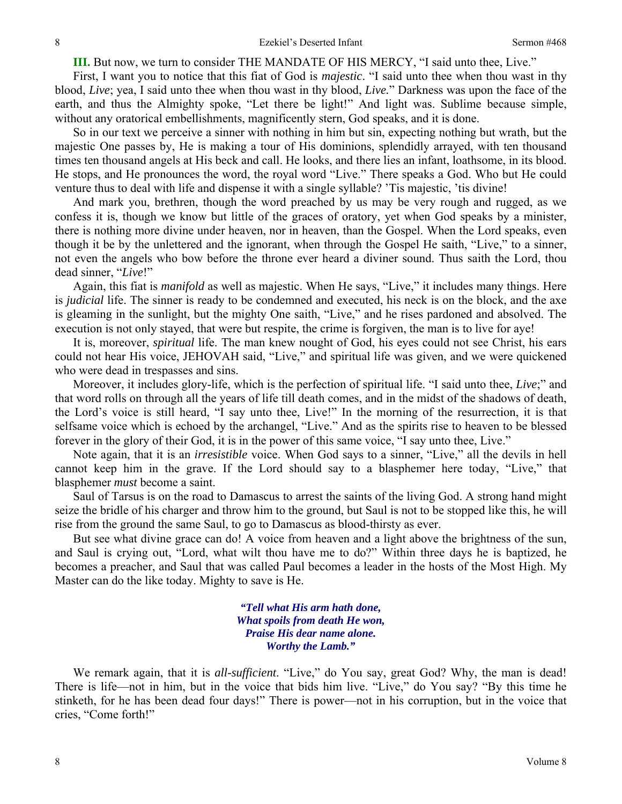**III.** But now, we turn to consider THE MANDATE OF HIS MERCY, "I said unto thee, Live."

First, I want you to notice that this fiat of God is *majestic*. "I said unto thee when thou wast in thy blood, *Live*; yea, I said unto thee when thou wast in thy blood, *Live.*" Darkness was upon the face of the earth, and thus the Almighty spoke, "Let there be light!" And light was. Sublime because simple, without any oratorical embellishments, magnificently stern, God speaks, and it is done.

So in our text we perceive a sinner with nothing in him but sin, expecting nothing but wrath, but the majestic One passes by, He is making a tour of His dominions, splendidly arrayed, with ten thousand times ten thousand angels at His beck and call. He looks, and there lies an infant, loathsome, in its blood. He stops, and He pronounces the word, the royal word "Live." There speaks a God. Who but He could venture thus to deal with life and dispense it with a single syllable? 'Tis majestic, 'tis divine!

And mark you, brethren, though the word preached by us may be very rough and rugged, as we confess it is, though we know but little of the graces of oratory, yet when God speaks by a minister, there is nothing more divine under heaven, nor in heaven, than the Gospel. When the Lord speaks, even though it be by the unlettered and the ignorant, when through the Gospel He saith, "Live," to a sinner, not even the angels who bow before the throne ever heard a diviner sound. Thus saith the Lord, thou dead sinner, "*Live*!"

Again, this fiat is *manifold* as well as majestic. When He says, "Live," it includes many things. Here is *judicial* life. The sinner is ready to be condemned and executed, his neck is on the block, and the axe is gleaming in the sunlight, but the mighty One saith, "Live," and he rises pardoned and absolved. The execution is not only stayed, that were but respite, the crime is forgiven, the man is to live for aye!

It is, moreover, *spiritual* life. The man knew nought of God, his eyes could not see Christ, his ears could not hear His voice, JEHOVAH said, "Live," and spiritual life was given, and we were quickened who were dead in trespasses and sins.

Moreover, it includes glory-life, which is the perfection of spiritual life. "I said unto thee, *Live*;" and that word rolls on through all the years of life till death comes, and in the midst of the shadows of death, the Lord's voice is still heard, "I say unto thee, Live!" In the morning of the resurrection, it is that selfsame voice which is echoed by the archangel, "Live." And as the spirits rise to heaven to be blessed forever in the glory of their God, it is in the power of this same voice, "I say unto thee, Live."

Note again, that it is an *irresistible* voice. When God says to a sinner, "Live," all the devils in hell cannot keep him in the grave. If the Lord should say to a blasphemer here today, "Live," that blasphemer *must* become a saint.

Saul of Tarsus is on the road to Damascus to arrest the saints of the living God. A strong hand might seize the bridle of his charger and throw him to the ground, but Saul is not to be stopped like this, he will rise from the ground the same Saul, to go to Damascus as blood-thirsty as ever.

But see what divine grace can do! A voice from heaven and a light above the brightness of the sun, and Saul is crying out, "Lord, what wilt thou have me to do?" Within three days he is baptized, he becomes a preacher, and Saul that was called Paul becomes a leader in the hosts of the Most High. My Master can do the like today. Mighty to save is He.

> *"Tell what His arm hath done, What spoils from death He won, Praise His dear name alone. Worthy the Lamb."*

We remark again, that it is *all-sufficient*. "Live," do You say, great God? Why, the man is dead! There is life—not in him, but in the voice that bids him live. "Live," do You say? "By this time he stinketh, for he has been dead four days!" There is power—not in his corruption, but in the voice that cries, "Come forth!"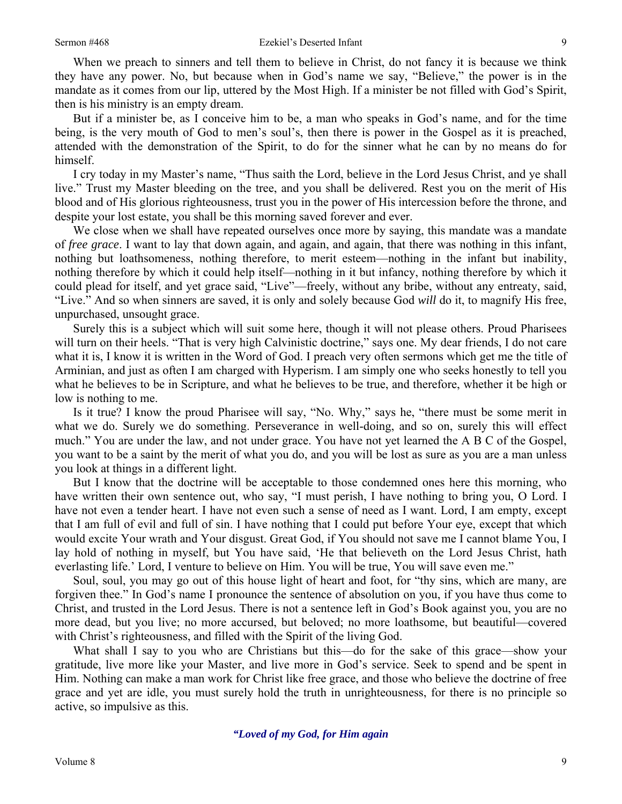When we preach to sinners and tell them to believe in Christ, do not fancy it is because we think they have any power. No, but because when in God's name we say, "Believe," the power is in the mandate as it comes from our lip, uttered by the Most High. If a minister be not filled with God's Spirit, then is his ministry is an empty dream.

But if a minister be, as I conceive him to be, a man who speaks in God's name, and for the time being, is the very mouth of God to men's soul's, then there is power in the Gospel as it is preached, attended with the demonstration of the Spirit, to do for the sinner what he can by no means do for himself.

I cry today in my Master's name, "Thus saith the Lord, believe in the Lord Jesus Christ, and ye shall live." Trust my Master bleeding on the tree, and you shall be delivered. Rest you on the merit of His blood and of His glorious righteousness, trust you in the power of His intercession before the throne, and despite your lost estate, you shall be this morning saved forever and ever.

We close when we shall have repeated ourselves once more by saying, this mandate was a mandate of *free grace*. I want to lay that down again, and again, and again, that there was nothing in this infant, nothing but loathsomeness, nothing therefore, to merit esteem—nothing in the infant but inability, nothing therefore by which it could help itself—nothing in it but infancy, nothing therefore by which it could plead for itself, and yet grace said, "Live"—freely, without any bribe, without any entreaty, said, "Live." And so when sinners are saved, it is only and solely because God *will* do it, to magnify His free, unpurchased, unsought grace.

Surely this is a subject which will suit some here, though it will not please others. Proud Pharisees will turn on their heels. "That is very high Calvinistic doctrine," says one. My dear friends, I do not care what it is, I know it is written in the Word of God. I preach very often sermons which get me the title of Arminian, and just as often I am charged with Hyperism. I am simply one who seeks honestly to tell you what he believes to be in Scripture, and what he believes to be true, and therefore, whether it be high or low is nothing to me.

Is it true? I know the proud Pharisee will say, "No. Why," says he, "there must be some merit in what we do. Surely we do something. Perseverance in well-doing, and so on, surely this will effect much." You are under the law, and not under grace. You have not yet learned the A B C of the Gospel, you want to be a saint by the merit of what you do, and you will be lost as sure as you are a man unless you look at things in a different light.

But I know that the doctrine will be acceptable to those condemned ones here this morning, who have written their own sentence out, who say, "I must perish, I have nothing to bring you, O Lord. I have not even a tender heart. I have not even such a sense of need as I want. Lord, I am empty, except that I am full of evil and full of sin. I have nothing that I could put before Your eye, except that which would excite Your wrath and Your disgust. Great God, if You should not save me I cannot blame You, I lay hold of nothing in myself, but You have said, 'He that believeth on the Lord Jesus Christ, hath everlasting life.' Lord, I venture to believe on Him. You will be true, You will save even me."

Soul, soul, you may go out of this house light of heart and foot, for "thy sins, which are many, are forgiven thee." In God's name I pronounce the sentence of absolution on you, if you have thus come to Christ, and trusted in the Lord Jesus. There is not a sentence left in God's Book against you, you are no more dead, but you live; no more accursed, but beloved; no more loathsome, but beautiful—covered with Christ's righteousness, and filled with the Spirit of the living God.

What shall I say to you who are Christians but this—do for the sake of this grace—show your gratitude, live more like your Master, and live more in God's service. Seek to spend and be spent in Him. Nothing can make a man work for Christ like free grace, and those who believe the doctrine of free grace and yet are idle, you must surely hold the truth in unrighteousness, for there is no principle so active, so impulsive as this.

*"Loved of my God, for Him again*